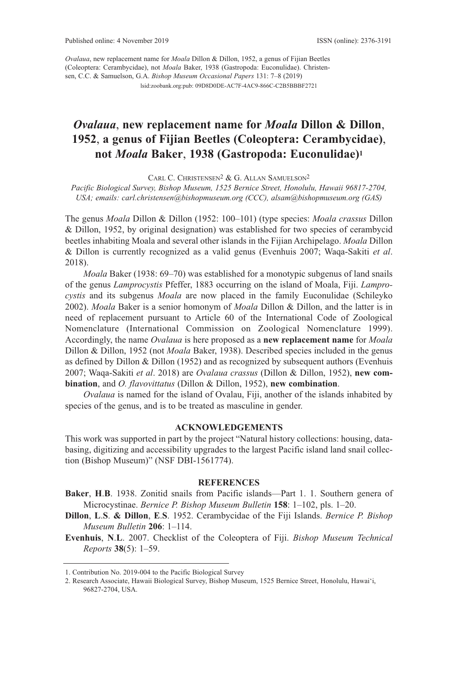lsid:zoobank.org:pub: 09D8D0DE-AC7F-4AC9-866C-C2B5BBBF2721 *Ovalaua*, new replacement name for *Moala* Dillon & Dillon, 1952, a genus of Fijian Beetles (Coleoptera: Cerambycidae), not *Moala* Baker, 1938 (Gastropoda: Euconulidae). Christensen, C.C. & Samuelson, G.A. *Bishop Museum Occasional Papers* 131: 7–8 (2019)

## *Ovalaua*, **new replacement name for** *Moala* **Dillon & Dillon**, **1952**, **a genus of Fijian Beetles (Coleoptera: Cerambycidae)**, **not** *Moala* **Baker**, **1938 (Gastropoda: Euconulidae)1**

CARl C. CHRIStENSEN2 & G. AllAN SAMUElSoN2

*Pacific Biological Survey, Bishop Museum, 1525 Bernice Street, Honolulu, Hawaii 96817-2704, USA; emails: carl.christensen@bishopmuseum.org (CCC), alsam@bishopmuseum.org (GAS)*

the genus *Moala* Dillon & Dillon (1952: 100–101) (type species: *Moala crassus* Dillon & Dillon, 1952, by original designation) was established for two species of cerambycid beetles inhabiting Moala and several other islands in the Fijian Archipelago. *Moala* Dillon & Dillon is currently recognized as a valid genus (Evenhuis 2007; Waqa-Sakiti *et al*. 2018).

 *Moala* Baker (1938: 69–70) was established for a monotypic subgenus of land snails of the genus *Lamprocystis* Pfeffer, 1883 occurring on the island of Moala, Fiji. *Lamprocystis* and its subgenus *Moala* are now placed in the family Euconulidae (Schileyko 2002). *Moala* Baker is a senior homonym of *Moala* Dillon & Dillon, and the latter is in need of replacement pursuant to Article 60 of the International Code of Zoological Nomenclature (International Commission on Zoological Nomenclature 1999). Accordingly, the name *Ovalaua* is here proposed as a **new replacement name** for *Moala* Dillon & Dillon, 1952 (not *Moala* Baker, 1938). Described species included in the genus as defined by Dillon & Dillon (1952) and as recognized by subsequent authors (Evenhuis 2007; Waqa-Sakiti *et al*. 2018) are *Ovalaua crassus* (Dillon & Dillon, 1952), **new combination**, and *O. flavovittatus* (Dillon & Dillon, 1952), **new combination**.

*Ovalaua* is named for the island of Ovalau, Fiji, another of the islands inhabited by species of the genus, and is to be treated as masculine in gender.

## **ACKNOWLEDGEMENTS**

This work was supported in part by the project "Natural history collections: housing, databasing, digitizing and accessibility upgrades to the largest Pacific island land snail collection (Bishop Museum)" (NSF DBI-1561774).

## **REFERENCES**

- **Baker**, **H**.**B**. 1938. Zonitid snails from Pacific islands—Part 1. 1. Southern genera of Microcystinae. *Bernice P. Bishop Museum Bulletin* **158**: 1–102, pls. 1–20.
- **Dillon**, **L**.**S**. **& Dillon**, **E**.**S**. 1952. Cerambycidae of the Fiji Islands. *Bernice P. Bishop Museum Bulletin* **206**: 1–114.

**Evenhuis**, **N**.**L**. 2007. Checklist of the Coleoptera of Fiji. *Bishop Museum Technical Reports* **38**(5): 1–59.

<sup>1.</sup> Contribution No. 2019-004 to the Pacific Biological Survey

<sup>2.</sup> Research Associate, Hawaii Biological Survey, Bishop Museum, 1525 Bernice Street, Honolulu, Hawai'i, 96827-2704, USA.